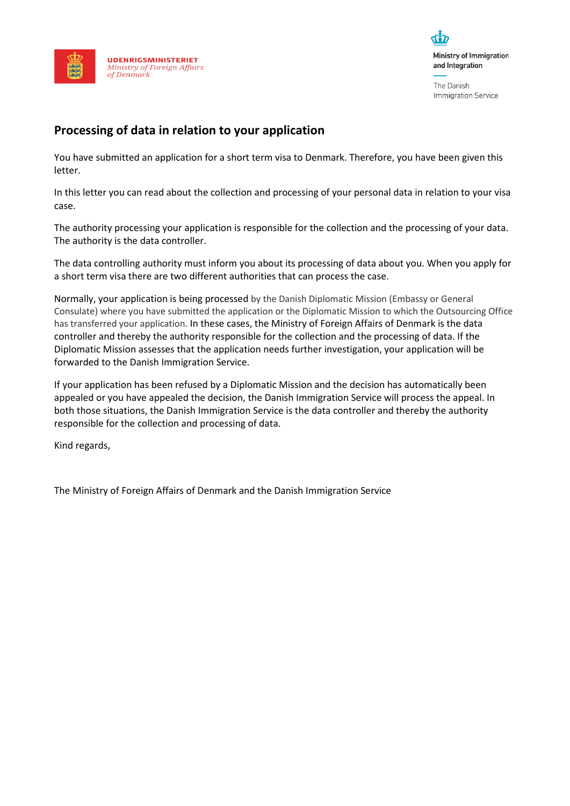



The Danish **Immigration Service** 

# **Processing of data in relation to your application**

You have submitted an application for a short term visa to Denmark. Therefore, you have been given this letter.

In this letter you can read about the collection and processing of your personal data in relation to your visa case.

The authority processing your application is responsible for the collection and the processing of your data. The authority is the data controller.

The data controlling authority must inform you about its processing of data about you. When you apply for a short term visa there are two different authorities that can process the case.

Normally, your application is being processed by the Danish Diplomatic Mission (Embassy or General Consulate) where you have submitted the application or the Diplomatic Mission to which the Outsourcing Office has transferred your application. In these cases, the Ministry of Foreign Affairs of Denmark is the data controller and thereby the authority responsible for the collection and the processing of data. If the Diplomatic Mission assesses that the application needs further investigation, your application will be forwarded to the Danish Immigration Service.

If your application has been refused by a Diplomatic Mission and the decision has automatically been appealed or you have appealed the decision, the Danish Immigration Service will process the appeal. In both those situations, the Danish Immigration Service is the data controller and thereby the authority responsible for the collection and processing of data.

Kind regards,

The Ministry of Foreign Affairs of Denmark and the Danish Immigration Service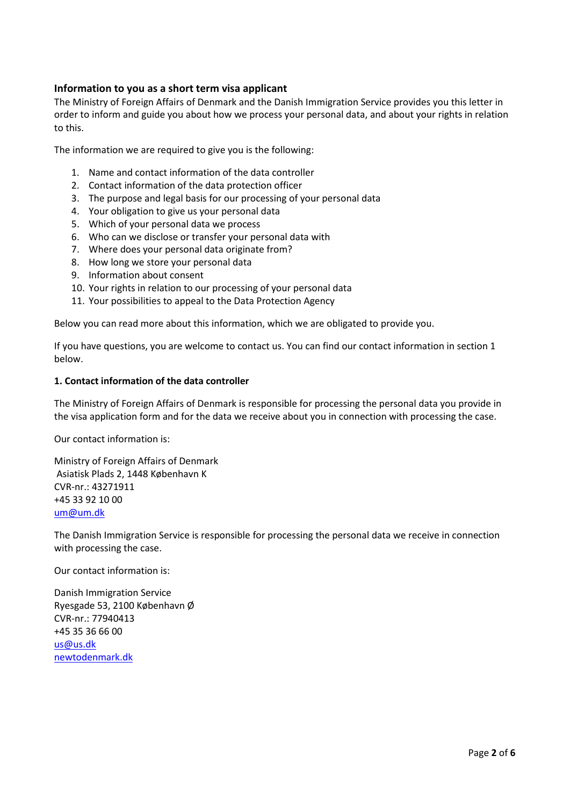## **Information to you as a short term visa applicant**

The Ministry of Foreign Affairs of Denmark and the Danish Immigration Service provides you this letter in order to inform and guide you about how we process your personal data, and about your rights in relation to this.

The information we are required to give you is the following:

- 1. Name and contact information of the data controller
- 2. Contact information of the data protection officer
- 3. The purpose and legal basis for our processing of your personal data
- 4. Your obligation to give us your personal data
- 5. Which of your personal data we process
- 6. Who can we disclose or transfer your personal data with
- 7. Where does your personal data originate from?
- 8. How long we store your personal data
- 9. Information about consent
- 10. Your rights in relation to our processing of your personal data
- 11. Your possibilities to appeal to the Data Protection Agency

Below you can read more about this information, which we are obligated to provide you.

If you have questions, you are welcome to contact us. You can find our contact information in section 1 below.

#### **1. Contact information of the data controller**

The Ministry of Foreign Affairs of Denmark is responsible for processing the personal data you provide in the visa application form and for the data we receive about you in connection with processing the case.

Our contact information is:

Ministry of Foreign Affairs of Denmark Asiatisk Plads 2, 1448 København K CVR-nr.: 43271911 +45 33 92 10 00 [um@um.dk](mailto:um@um.dk)

The Danish Immigration Service is responsible for processing the personal data we receive in connection with processing the case.

Our contact information is:

Danish Immigration Service Ryesgade 53, 2100 København Ø CVR-nr.: 77940413 +45 35 36 66 00 [us@us.dk](mailto:us@us.dk) [newtodenmark.dk](http://www.newtodenmark.dk/)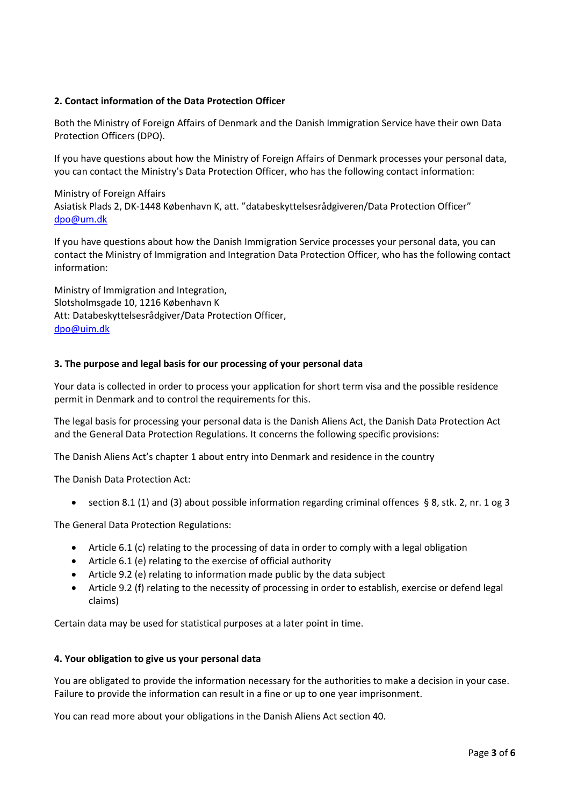## **2. Contact information of the Data Protection Officer**

Both the Ministry of Foreign Affairs of Denmark and the Danish Immigration Service have their own Data Protection Officers (DPO).

If you have questions about how the Ministry of Foreign Affairs of Denmark processes your personal data, you can contact the Ministry's Data Protection Officer, who has the following contact information:

Ministry of Foreign Affairs Asiatisk Plads 2, DK-1448 København K, att. "databeskyttelsesrådgiveren/Data Protection Officer" [dpo@um.dk](mailto:dpo@um.dk)

If you have questions about how the Danish Immigration Service processes your personal data, you can contact the Ministry of Immigration and Integration Data Protection Officer, who has the following contact information:

Ministry of Immigration and Integration, Slotsholmsgade 10, 1216 København K Att: Databeskyttelsesrådgiver/Data Protection Officer, [dpo@uim.dk](mailto:dpo@uim.dk)

#### **3. The purpose and legal basis for our processing of your personal data**

Your data is collected in order to process your application for short term visa and the possible residence permit in Denmark and to control the requirements for this.

The legal basis for processing your personal data is the Danish Aliens Act, the Danish Data Protection Act and the General Data Protection Regulations. It concerns the following specific provisions:

The Danish Aliens Act's chapter 1 about entry into Denmark and residence in the country

The Danish Data Protection Act:

• section 8.1 (1) and (3) about possible information regarding criminal offences § 8, stk. 2, nr. 1 og 3

The General Data Protection Regulations:

- Article 6.1 (c) relating to the processing of data in order to comply with a legal obligation
- Article 6.1 (e) relating to the exercise of official authority
- Article 9.2 (e) relating to information made public by the data subject
- Article 9.2 (f) relating to the necessity of processing in order to establish, exercise or defend legal claims)

Certain data may be used for statistical purposes at a later point in time.

#### **4. Your obligation to give us your personal data**

You are obligated to provide the information necessary for the authorities to make a decision in your case. Failure to provide the information can result in a fine or up to one year imprisonment.

You can read more about your obligations in the Danish Aliens Act section 40.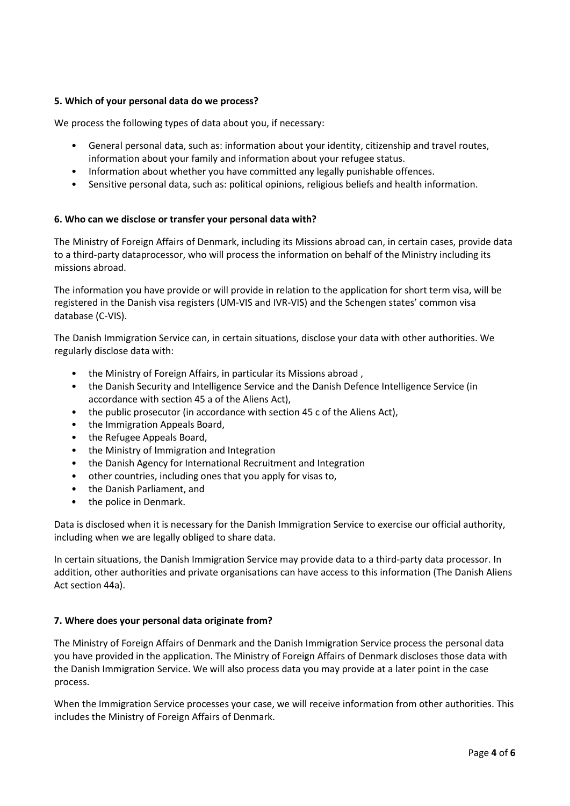## **5. Which of your personal data do we process?**

We process the following types of data about you, if necessary:

- General personal data, such as: information about your identity, citizenship and travel routes, information about your family and information about your refugee status.
- Information about whether you have committed any legally punishable offences.
- Sensitive personal data, such as: political opinions, religious beliefs and health information.

#### **6. Who can we disclose or transfer your personal data with?**

The Ministry of Foreign Affairs of Denmark, including its Missions abroad can, in certain cases, provide data to a third-party dataprocessor, who will process the information on behalf of the Ministry including its missions abroad.

The information you have provide or will provide in relation to the application for short term visa, will be registered in the Danish visa registers (UM-VIS and IVR-VIS) and the Schengen states' common visa database (C-VIS).

The Danish Immigration Service can, in certain situations, disclose your data with other authorities. We regularly disclose data with:

- the Ministry of Foreign Affairs, in particular its Missions abroad ,
- the Danish Security and Intelligence Service and the Danish Defence Intelligence Service (in accordance with section 45 a of the Aliens Act),
- the public prosecutor (in accordance with section 45 c of the Aliens Act),
- the Immigration Appeals Board,
- the Refugee Appeals Board,
- the Ministry of Immigration and Integration
- the Danish Agency for International Recruitment and Integration
- other countries, including ones that you apply for visas to,
- the Danish Parliament, and
- the police in Denmark.

Data is disclosed when it is necessary for the Danish Immigration Service to exercise our official authority, including when we are legally obliged to share data.

In certain situations, the Danish Immigration Service may provide data to a third-party data processor. In addition, other authorities and private organisations can have access to this information (The Danish Aliens Act section 44a).

#### **7. Where does your personal data originate from?**

The Ministry of Foreign Affairs of Denmark and the Danish Immigration Service process the personal data you have provided in the application. The Ministry of Foreign Affairs of Denmark discloses those data with the Danish Immigration Service. We will also process data you may provide at a later point in the case process.

When the Immigration Service processes your case, we will receive information from other authorities. This includes the Ministry of Foreign Affairs of Denmark.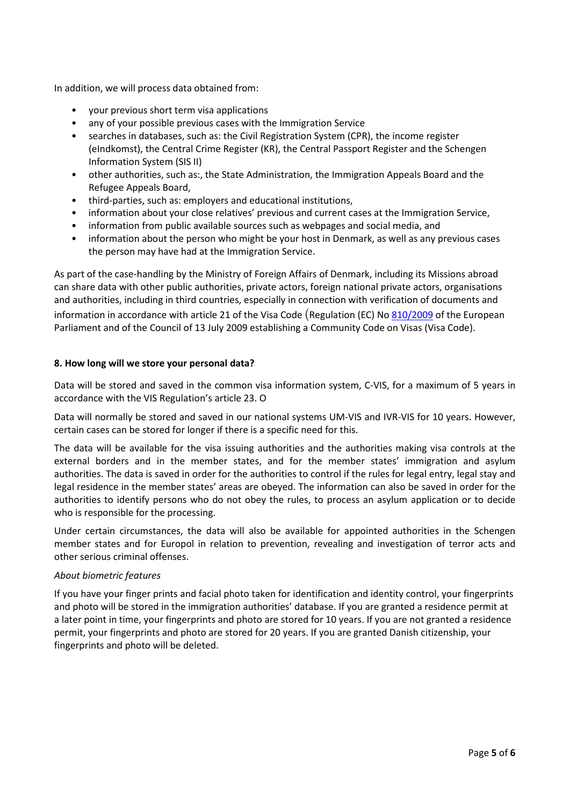In addition, we will process data obtained from:

- your previous short term visa applications
- any of your possible previous cases with the Immigration Service
- searches in databases, such as: the Civil Registration System (CPR), the income register (eIndkomst), the Central Crime Register (KR), the Central Passport Register and the Schengen Information System (SIS II)
- other authorities, such as:, the State Administration, the Immigration Appeals Board and the Refugee Appeals Board,
- third-parties, such as: employers and educational institutions,
- information about your close relatives' previous and current cases at the Immigration Service,
- information from public available sources such as webpages and social media, and
- information about the person who might be your host in Denmark, as well as any previous cases the person may have had at the Immigration Service.

As part of the case-handling by the Ministry of Foreign Affairs of Denmark, including its Missions abroad can share data with other public authorities, private actors, foreign national private actors, organisations and authorities, including in third countries, especially in connection with verification of documents and information in accordance with article 21 of the Visa Code (Regulation (EC) No [810/2009](https://eur-lex.europa.eu/legal-content/EN/AUTO/?uri=celex:32009R0810) of the European Parliament and of the Council of 13 July 2009 establishing a Community Code on Visas (Visa Code).

#### **8. How long will we store your personal data?**

Data will be stored and saved in the common visa information system, C-VIS, for a maximum of 5 years in accordance with the VIS Regulation's article 23. O

Data will normally be stored and saved in our national systems UM-VIS and IVR-VIS for 10 years. However, certain cases can be stored for longer if there is a specific need for this.

The data will be available for the visa issuing authorities and the authorities making visa controls at the external borders and in the member states, and for the member states' immigration and asylum authorities. The data is saved in order for the authorities to control if the rules for legal entry, legal stay and legal residence in the member states' areas are obeyed. The information can also be saved in order for the authorities to identify persons who do not obey the rules, to process an asylum application or to decide who is responsible for the processing.

Under certain circumstances, the data will also be available for appointed authorities in the Schengen member states and for Europol in relation to prevention, revealing and investigation of terror acts and other serious criminal offenses.

#### *About biometric features*

If you have your finger prints and facial photo taken for identification and identity control, your fingerprints and photo will be stored in the immigration authorities' database. If you are granted a residence permit at a later point in time, your fingerprints and photo are stored for 10 years. If you are not granted a residence permit, your fingerprints and photo are stored for 20 years. If you are granted Danish citizenship, your fingerprints and photo will be deleted.